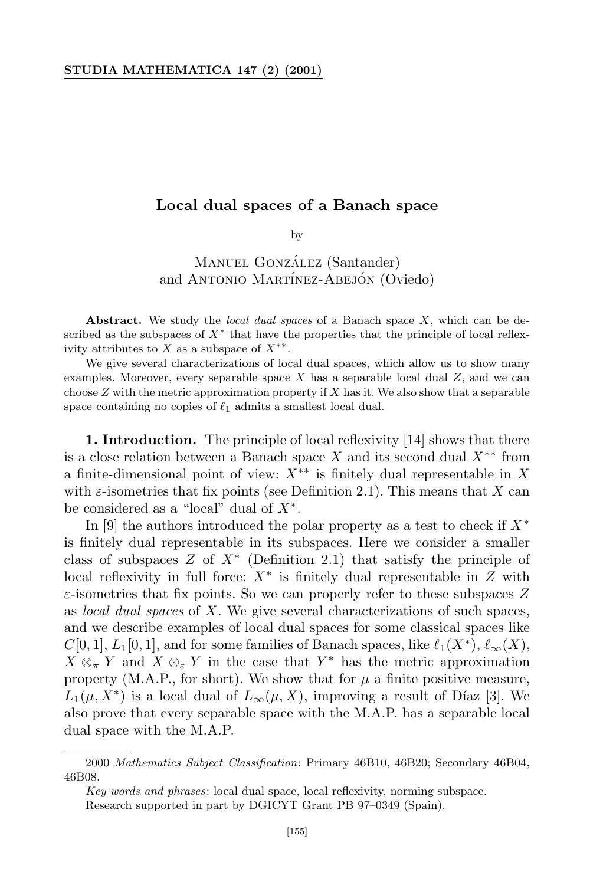## **Local dual spaces of a Banach space**

by

MANUEL GONZÁLEZ (Santander) and ANTONIO MARTÍNEZ-ABEJÓN (Oviedo)

**Abstract.** We study the *local dual spaces* of a Banach space *X*, which can be described as the subspaces of *X∗* that have the properties that the principle of local reflexivity attributes to *X* as a subspace of *X ∗∗* .

We give several characterizations of local dual spaces, which allow us to show many examples. Moreover, every separable space *X* has a separable local dual *Z*, and we can choose *Z* with the metric approximation property if *X* has it. We also show that a separable space containing no copies of  $\ell_1$  admits a smallest local dual.

**1. Introduction.** The principle of local reflexivity [14] shows that there is a close relation between a Banach space *X* and its second dual *X∗∗* from a finite-dimensional point of view: *X∗∗* is finitely dual representable in *X* with  $\varepsilon$ -isometries that fix points (see Definition 2.1). This means that X can be considered as a "local" dual of *X<sup>∗</sup>* .

In [9] the authors introduced the polar property as a test to check if *X<sup>∗</sup>* is finitely dual representable in its subspaces. Here we consider a smaller class of subspaces *Z* of *X<sup>∗</sup>* (Definition 2.1) that satisfy the principle of local reflexivity in full force: *X<sup>∗</sup>* is finitely dual representable in *Z* with *ε*-isometries that fix points. So we can properly refer to these subspaces *Z* as *local dual spaces* of *X*. We give several characterizations of such spaces, and we describe examples of local dual spaces for some classical spaces like  $C[0, 1], L_1[0, 1],$  and for some families of Banach spaces, like  $\ell_1(X^*), \ell_\infty(X)$ ,  $X \otimes_{\pi} Y$  and  $X \otimes_{\varepsilon} Y$  in the case that  $Y^*$  has the metric approximation property (M.A.P., for short). We show that for  $\mu$  a finite positive measure,  $L_1(\mu, X^*)$  is a local dual of  $L_\infty(\mu, X)$ , improving a result of Díaz [3]. We also prove that every separable space with the M.A.P. has a separable local dual space with the M.A.P.

<sup>2000</sup> *Mathematics Subject Classification*: Primary 46B10, 46B20; Secondary 46B04, 46B08.

*Key words and phrases*: local dual space, local reflexivity, norming subspace.

Research supported in part by DGICYT Grant PB 97–0349 (Spain).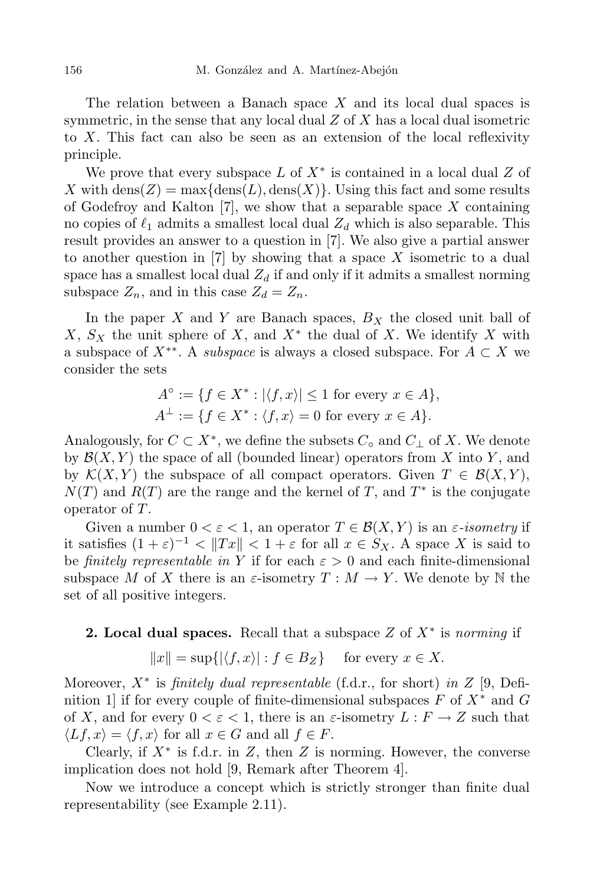The relation between a Banach space *X* and its local dual spaces is symmetric, in the sense that any local dual *Z* of *X* has a local dual isometric to *X*. This fact can also be seen as an extension of the local reflexivity principle.

We prove that every subspace *L* of *X<sup>∗</sup>* is contained in a local dual *Z* of *X* with dens $(Z) = \max\{\text{dens}(L), \text{dens}(X)\}\$ . Using this fact and some results of Godefroy and Kalton [7], we show that a separable space *X* containing no copies of  $\ell_1$  admits a smallest local dual  $Z_d$  which is also separable. This result provides an answer to a question in [7]. We also give a partial answer to another question in [7] by showing that a space *X* isometric to a dual space has a smallest local dual  $Z_d$  if and only if it admits a smallest norming subspace  $Z_n$ , and in this case  $Z_d = Z_n$ .

In the paper *X* and *Y* are Banach spaces, *B<sup>X</sup>* the closed unit ball of *X*, *S<sup>X</sup>* the unit sphere of *X*, and *X<sup>∗</sup>* the dual of *X*. We identify *X* with a subspace of  $X^{**}$ . A *subspace* is always a closed subspace. For  $A \subset X$  we consider the sets

$$
A^{\circ} := \{ f \in X^* : |\langle f, x \rangle| \le 1 \text{ for every } x \in A \},
$$
  

$$
A^{\perp} := \{ f \in X^* : \langle f, x \rangle = 0 \text{ for every } x \in A \}.
$$

Analogously, for  $C \subset X^*$ , we define the subsets  $C_{\circ}$  and  $C_{\perp}$  of  $X$ . We denote by  $\mathcal{B}(X, Y)$  the space of all (bounded linear) operators from X into Y, and by  $\mathcal{K}(X, Y)$  the subspace of all compact operators. Given  $T \in \mathcal{B}(X, Y)$ , *N*(*T*) and *R*(*T*) are the range and the kernel of *T*, and *T ∗* is the conjugate operator of *T*.

Given a number  $0 < \varepsilon < 1$ , an operator  $T \in \mathcal{B}(X, Y)$  is an  $\varepsilon$ -*isometry* if it satisfies  $(1 + \varepsilon)^{-1} < ||Tx|| < 1 + \varepsilon$  for all  $x \in S_X$ . A space *X* is said to be *finitely representable in* Y if for each  $\varepsilon > 0$  and each finite-dimensional subspace *M* of *X* there is an  $\varepsilon$ -isometry  $T : M \to Y$ . We denote by N the set of all positive integers.

**2. Local dual spaces.** Recall that a subspace *Z* of *X<sup>∗</sup>* is *norming* if

$$
||x|| = \sup\{ |\langle f, x \rangle| : f \in B_Z \} \quad \text{for every } x \in X.
$$

Moreover, *X<sup>∗</sup>* is *finitely dual representable* (f.d.r., for short) *in Z* [9, Definition 1] if for every couple of finite-dimensional subspaces *F* of *X<sup>∗</sup>* and *G* of *X*, and for every  $0 < \varepsilon < 1$ , there is an  $\varepsilon$ -isometry  $L : F \to Z$  such that  $\langle Lf, x \rangle = \langle f, x \rangle$  for all  $x \in G$  and all  $f \in F$ .

Clearly, if *X<sup>∗</sup>* is f.d.r. in *Z*, then *Z* is norming. However, the converse implication does not hold [9, Remark after Theorem 4].

Now we introduce a concept which is strictly stronger than finite dual representability (see Example 2.11).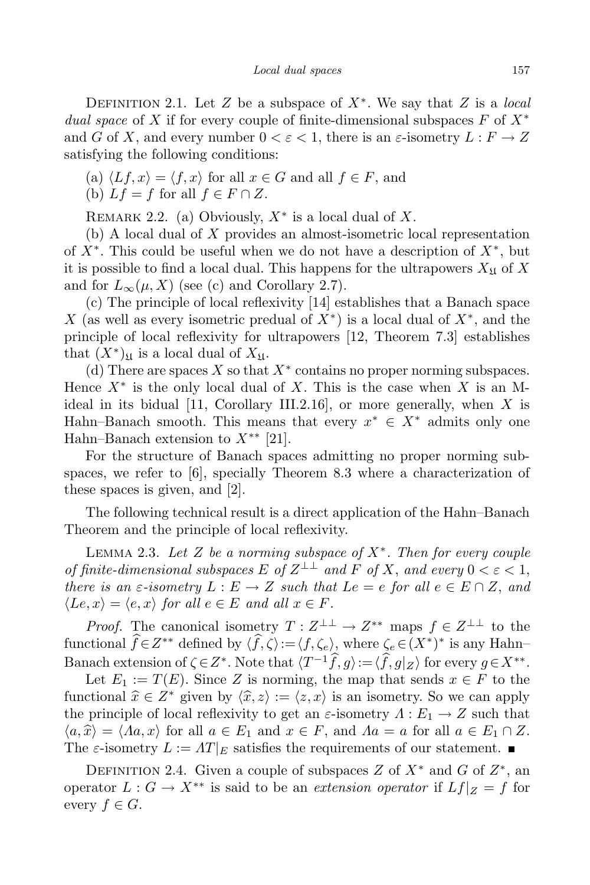Definition 2.1. Let *Z* be a subspace of *X<sup>∗</sup>* . We say that *Z* is a *local dual space* of *X* if for every couple of finite-dimensional subspaces *F* of *X<sup>∗</sup>* and *G* of *X*, and every number  $0 < \varepsilon < 1$ , there is an  $\varepsilon$ -isometry  $L : F \to Z$ satisfying the following conditions:

(a)  $\langle Lf, x \rangle = \langle f, x \rangle$  for all  $x \in G$  and all  $f \in F$ , and (b)  $Lf = f$  for all  $f \in F \cap Z$ .

Remark 2.2. (a) Obviously, *X<sup>∗</sup>* is a local dual of *X*.

(b) A local dual of *X* provides an almost-isometric local representation of *X<sup>∗</sup>* . This could be useful when we do not have a description of *X<sup>∗</sup>* , but it is possible to find a local dual. This happens for the ultrapowers  $X_{\mathfrak{U}}$  of X and for  $L_\infty(\mu, X)$  (see (c) and Corollary 2.7).

(c) The principle of local reflexivity [14] establishes that a Banach space *X* (as well as every isometric predual of *X<sup>∗</sup>* ) is a local dual of *X<sup>∗</sup>* , and the principle of local reflexivity for ultrapowers [12, Theorem 7.3] establishes that  $(X^*)_{\mathfrak{U}}$  is a local dual of  $X_{\mathfrak{U}}$ .

(d) There are spaces *X* so that *X<sup>∗</sup>* contains no proper norming subspaces. Hence *X<sup>∗</sup>* is the only local dual of *X*. This is the case when *X* is an Mideal in its bidual [11, Corollary III.2.16], or more generally, when *X* is Hahn–Banach smooth. This means that every  $x^* \in X^*$  admits only one Hahn–Banach extension to *X∗∗* [21].

For the structure of Banach spaces admitting no proper norming subspaces, we refer to [6], specially Theorem 8.3 where a characterization of these spaces is given, and [2].

The following technical result is a direct application of the Hahn–Banach Theorem and the principle of local reflexivity.

Lemma 2.3. *Let Z be a norming subspace of X<sup>∗</sup> . Then for every couple of finite-dimensional subspaces*  $E$  *of*  $Z^{\perp\perp}$  *and*  $F$  *of*  $X$ *, and every*  $0 < \varepsilon < 1$ *, there is* an  $\varepsilon$ *-isometry*  $L: E \to Z$  *such that*  $Le = e$  *for* all  $e \in E \cap Z$ , and  $\langle Le, x \rangle = \langle e, x \rangle$  *for all*  $e \in E$  *and all*  $x \in F$ *.* 

*Proof.* The canonical isometry  $T: Z^{\perp \perp} \to Z^{**}$  maps  $f \in Z^{\perp \perp}$  to the functional  $f \in Z^{**}$  defined by  $\langle f, \zeta \rangle := \langle f, \zeta_e \rangle$ , where  $\zeta_e \in (X^*)^*$  is any Hahn– Banach extension of  $\zeta \in Z^*$ . Note that  $\langle T^{-1} \hat{f}, g \rangle := \langle \hat{f}, g | Z \rangle$  for every  $g \in X^{**}$ .

Let  $E_1 := T(E)$ . Since *Z* is norming, the map that sends  $x \in F$  to the functional  $\hat{x} \in Z^*$  given by  $\langle \hat{x}, z \rangle := \langle z, x \rangle$  is an isometry. So we can apply the principle of local reflexivity to get an  $\varepsilon$ -isometry  $\Lambda : E_1 \to Z$  such that  $\langle a, \hat{x} \rangle = \langle Aa, x \rangle$  for all  $a \in E_1$  and  $x \in F$ , and  $Aa = a$  for all  $a \in E_1 \cap Z$ . The  $\varepsilon$ -isometry  $L := \Lambda T|_E$  satisfies the requirements of our statement.

Definition 2.4. Given a couple of subspaces *Z* of *X<sup>∗</sup>* and *G* of *Z ∗* , an operator  $L: G \to X^{**}$  is said to be an *extension operator* if  $Lf|_Z = f$  for every  $f \in G$ .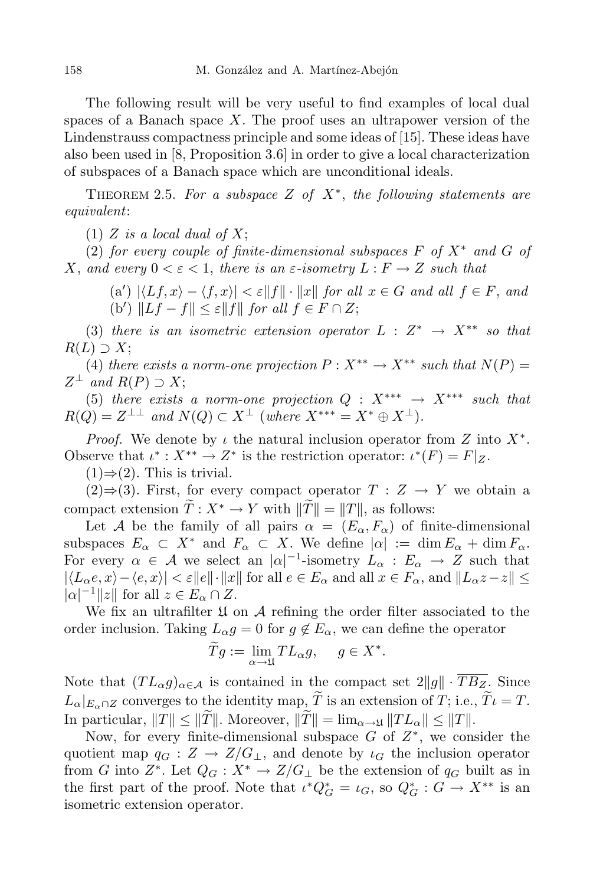The following result will be very useful to find examples of local dual spaces of a Banach space *X*. The proof uses an ultrapower version of the Lindenstrauss compactness principle and some ideas of [15]. These ideas have also been used in [8, Proposition 3.6] in order to give a local characterization of subspaces of a Banach space which are unconditional ideals.

Theorem 2.5. *For a subspace Z of X<sup>∗</sup>* , *the following statements are equivalent*:

(1)  $Z$  *is a local dual of*  $X$ ;

(2) *for every couple of finite-dimensional subspaces*  $F$  *of*  $X^*$  *and*  $G$  *of X*, and every  $0 < \varepsilon < 1$ , there is an  $\varepsilon$ -isometry  $L : F \to Z$  such that

 $(a') | \langle Lf, x \rangle - \langle f, x \rangle | < \varepsilon ||f|| \cdot ||x||$  for all  $x \in G$  and all  $f \in F$ , and  $(|b')$   $||Lf - f|| \leq \varepsilon ||f||$  *for all*  $f \in F \cap Z$ ;

 $(3)$  *there is an isometric extension operator*  $L: Z^* \rightarrow X^{**}$  *so that*  $R(L)$  *⊃ X*;

(4) *there exists a norm-one projection*  $P: X^{**} \to X^{**}$  *such that*  $N(P) =$  $Z^{\perp}$  *and*  $R(P) \supseteq X;$ 

(5) *there exists a norm-one projection*  $Q: X^{***} \rightarrow X^{***}$  *such that*  $R(Q) = Z^{\perp \perp}$  *and*  $N(Q) \subset X^{\perp}$  (*where*  $X^{***} = X^{*} \oplus X^{\perp}$ ).

*Proof.* We denote by *ι* the natural inclusion operator from *Z* into *X<sup>∗</sup>* . Observe that  $\iota^* : X^{**} \to Z^*$  is the restriction operator:  $\iota^*(F) = F|_Z$ .

 $(1) \Rightarrow (2)$ . This is trivial.

(2) $\Rightarrow$ (3). First, for every compact operator *T* : *Z* → *Y* we obtain a compact extension  $\widetilde{T}: X^* \to Y$  with  $\|\widetilde{T}\| = \|T\|$ , as follows:

Let *A* be the family of all pairs  $\alpha = (E_{\alpha}, F_{\alpha})$  of finite-dimensional subspaces  $E_{\alpha} \subset X^*$  and  $F_{\alpha} \subset X$ . We define  $|\alpha| := \dim E_{\alpha} + \dim F_{\alpha}$ . For every  $\alpha \in \mathcal{A}$  we select an  $|\alpha|^{-1}$ -isometry  $L_{\alpha}: E_{\alpha} \to Z$  such that  $|\langle L_{\alpha}e, x \rangle - \langle e, x \rangle| < \varepsilon ||e|| \cdot ||x||$  for all  $e \in E_{\alpha}$  and all  $x \in F_{\alpha}$ , and  $||L_{\alpha}z - z|| \le$  $|a|^{-1}||z||$  for all  $z \in E_\alpha \cap Z$ .

We fix an ultrafilter  $\mathfrak U$  on  $\mathcal A$  refining the order filter associated to the order inclusion. Taking  $L_{\alpha}g = 0$  for  $g \notin E_{\alpha}$ , we can define the operator

$$
\widetilde{T}g := \lim_{\alpha \to \mathfrak{U}} TL_{\alpha}g, \quad g \in X^*.
$$

Note that  $(TL_\alpha g)_{\alpha \in \mathcal{A}}$  is contained in the compact set  $2||g|| \cdot \overline{TB_Z}$ . Since  $L_{\alpha}|_{E_{\alpha} \cap Z}$  converges to the identity map,  $\widetilde{T}$  is an extension of *T*; i.e.,  $\widetilde{T} \iota = T$ . In particular,  $||T|| \le ||\widetilde{T}||$ . Moreover,  $||\widetilde{T}|| = \lim_{\alpha \to \mathfrak{U}} ||TL_{\alpha}|| \le ||T||$ .

Now, for every finite-dimensional subspace *G* of *Z ∗* , we consider the quotient map  $q_G : Z \to Z/G_{\perp}$ , and denote by  $\iota_G$  the inclusion operator from *G* into  $Z^*$ . Let  $Q_G: X^* \to Z/G_\perp$  be the extension of  $q_G$  built as in the first part of the proof. Note that  $\iota^* Q_G^* = \iota_G$ , so  $Q_G^* : G \to X^{**}$  is an isometric extension operator.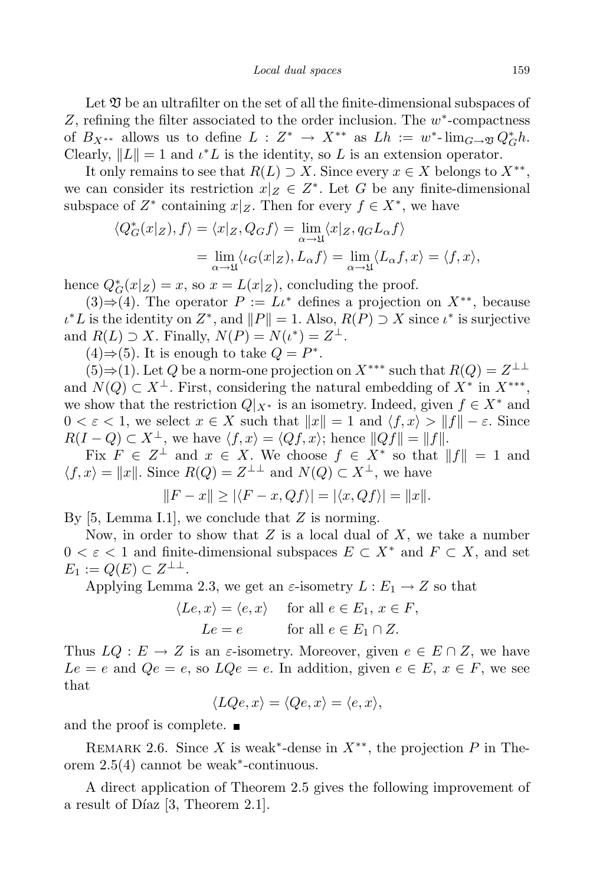Let  $\mathfrak V$  be an ultrafilter on the set of all the finite-dimensional subspaces of *Z*, refining the filter associated to the order inclusion. The *w ∗* -compactness of  $B_{X^{**}}$  allows us to define  $L: Z^* \to X^{**}$  as  $Lh := w^* \text{-} \lim_{G \to \mathfrak{V}} Q_G^* h$ . Clearly,  $||L|| = 1$  and  $\iota^* L$  is the identity, so  $L$  is an extension operator.

It only remains to see that  $R(L) \supset X$ . Since every  $x \in X$  belongs to  $X^{**}$ , we can consider its restriction  $x|_Z \in Z^*$ . Let *G* be any finite-dimensional subspace of  $Z^*$  containing  $x|_Z$ . Then for every  $f \in X^*$ , we have

$$
\langle Q_G^*(x|z), f \rangle = \langle x|z, Q_G f \rangle = \lim_{\alpha \to \mathfrak{U}} \langle x|z, q_G L_\alpha f \rangle
$$
  
= 
$$
\lim_{\alpha \to \mathfrak{U}} \langle \iota_G(x|z), L_\alpha f \rangle = \lim_{\alpha \to \mathfrak{U}} \langle L_\alpha f, x \rangle = \langle f, x \rangle,
$$

hence  $Q^*_{G}(x|z) = x$ , so  $x = L(x|z)$ , concluding the proof.

(3)⇒(4). The operator  $P := L\iota^*$  defines a projection on  $X^{**}$ , because  $\iota^* L$  is the identity on  $Z^*$ , and  $||P|| = 1$ . Also,  $R(P) \supset X$  since  $\iota^*$  is surjective and  $R(L) \supset X$ . Finally,  $N(P) = N(\iota^*) = Z^{\perp}$ .

 $(4)$  ⇒  $(5)$ . It is enough to take  $Q = P^*$ .

(5)⇒(1). Let *Q* be a norm-one projection on  $X^{***}$  such that  $R(Q) = Z^{\perp \perp}$ and  $N(Q) \subset X^{\perp}$ . First, considering the natural embedding of  $X^*$  in  $X^{***}$ , we show that the restriction  $Q|_{X^*}$  is an isometry. Indeed, given  $f \in X^*$  and  $0 < \varepsilon < 1$ , we select  $x \in X$  such that  $||x|| = 1$  and  $\langle f, x \rangle > ||f|| - \varepsilon$ . Since  $R(I - Q) \subset X^\perp$ , we have  $\langle f, x \rangle = \langle Qf, x \rangle$ ; hence  $||Qf|| = ||f||$ .

Fix  $F \in \mathbb{Z}^{\perp}$  and  $x \in X$ . We choose  $f \in X^*$  so that  $||f|| = 1$  and  $\langle f, x \rangle = ||x||$ . Since  $R(Q) = Z^{\perp \perp}$  and  $N(Q) \subset X^{\perp}$ , we have

$$
||F - x|| \ge |\langle F - x, Qf \rangle| = |\langle x, Qf \rangle| = ||x||.
$$

By [5, Lemma I.1], we conclude that *Z* is norming.

Now, in order to show that *Z* is a local dual of *X*, we take a number  $0 < \varepsilon < 1$  and finite-dimensional subspaces  $E \subset X^*$  and  $F \subset X$ , and set  $E_1 := Q(E) \subset Z^{\perp \perp}.$ 

Applying Lemma 2.3, we get an  $\varepsilon$ -isometry  $L : E_1 \to Z$  so that

$$
\langle Le, x \rangle = \langle e, x \rangle \quad \text{for all } e \in E_1, x \in F,
$$
  

$$
Le = e \quad \text{for all } e \in E_1 \cap Z.
$$

Thus  $LQ: E \to Z$  is an  $\varepsilon$ -isometry. Moreover, given  $e \in E \cap Z$ , we have  $Le = e$  and  $Qe = e$ , so  $LQe = e$ . In addition, given  $e \in E$ ,  $x \in F$ , we see that

$$
\langle LQe, x \rangle = \langle Qe, x \rangle = \langle e, x \rangle,
$$

and the proof is complete.  $\blacksquare$ 

REMARK 2.6. Since *X* is weak<sup>∗</sup>-dense in  $X^{**}$ , the projection *P* in Theorem 2.5(4) cannot be weak*∗* -continuous.

A direct application of Theorem 2.5 gives the following improvement of a result of Díaz  $[3,$  Theorem 2.1].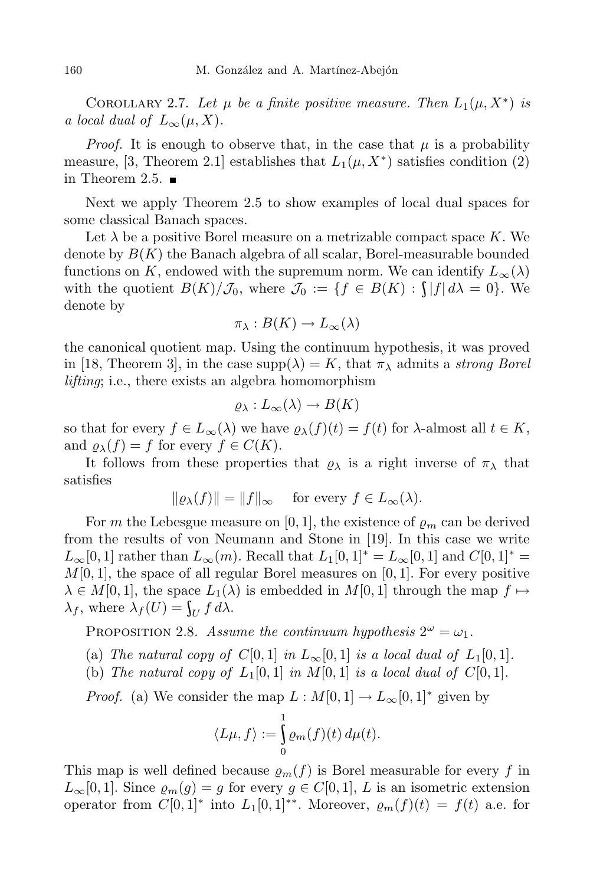COROLLARY 2.7. Let  $\mu$  be a finite positive measure. Then  $L_1(\mu, X^*)$  is *a local dual of*  $L_\infty(\mu, X)$ .

*Proof.* It is enough to observe that, in the case that  $\mu$  is a probability measure, [3, Theorem 2.1] establishes that  $L_1(\mu, X^*)$  satisfies condition (2) in Theorem 2.5.  $\blacksquare$ 

Next we apply Theorem 2.5 to show examples of local dual spaces for some classical Banach spaces.

Let  $\lambda$  be a positive Borel measure on a metrizable compact space  $K$ . We denote by *B*(*K*) the Banach algebra of all scalar, Borel-measurable bounded functions on *K*, endowed with the supremum norm. We can identify  $L_{\infty}(\lambda)$ with the quotient  $B(K)/\mathcal{J}_0$ , where  $\mathcal{J}_0 := \{f \in B(K) : \int |f| d\lambda = 0\}$ . We denote by

$$
\pi_{\lambda}: B(K) \to L_{\infty}(\lambda)
$$

the canonical quotient map. Using the continuum hypothesis, it was proved in [18, Theorem 3], in the case  $\text{supp}(\lambda) = K$ , that  $\pi_{\lambda}$  admits a *strong Borel lifting*; i.e., there exists an algebra homomorphism

$$
\varrho_\lambda: L_\infty(\lambda) \to B(K)
$$

so that for every  $f \in L_{\infty}(\lambda)$  we have  $\varrho_{\lambda}(f)(t) = f(t)$  for  $\lambda$ -almost all  $t \in K$ , and  $\rho_{\lambda}(f) = f$  for every  $f \in C(K)$ .

It follows from these properties that  $\rho_{\lambda}$  is a right inverse of  $\pi_{\lambda}$  that satisfies

$$
\|\varrho_\lambda(f)\| = \|f\|_\infty \quad \text{ for every } f \in L_\infty(\lambda).
$$

For *m* the Lebesgue measure on [0, 1], the existence of  $\rho_m$  can be derived from the results of von Neumann and Stone in [19]. In this case we write *L*<sub>∞</sub>[0*,* 1] rather than  $L_∞(m)$ . Recall that  $L_1[0,1]$ <sup>\*</sup> =  $L_∞[0,1]$  and  $C[0,1]$ <sup>\*</sup> = *M*[0*,* 1], the space of all regular Borel measures on [0*,* 1]. For every positive  $\lambda \in M[0,1]$ , the space  $L_1(\lambda)$  is embedded in  $M[0,1]$  through the map  $f \mapsto$ *λ*<sub>*f*</sub>, where  $λ$ <sub>*f*</sub>(*U*) =  $\int_U f dλ$ .

PROPOSITION 2.8. *Assume the continuum hypothesis*  $2^{\omega} = \omega_1$ .

- (a) *The natural copy of*  $C[0,1]$  *in*  $L_\infty[0,1]$  *is a local dual of*  $L_1[0,1]$ *.*
- (b) *The natural copy of*  $L_1[0,1]$  *in*  $M[0,1]$  *is a local dual of*  $C[0,1]$ *.*

*Proof.* (a) We consider the map  $L : M[0,1] \to L_\infty[0,1]^*$  given by

$$
\langle L\mu, f \rangle := \int_{0}^{1} \varrho_m(f)(t) \, d\mu(t).
$$

This map is well defined because  $\rho_m(f)$  is Borel measurable for every *f* in  $L_{\infty}[0,1]$ . Since  $\varrho_m(g) = g$  for every  $g \in C[0,1]$ , *L* is an isometric extension operator from  $C[0,1]^*$  into  $L_1[0,1]^{**}$ . Moreover,  $\varrho_m(f)(t) = f(t)$  a.e. for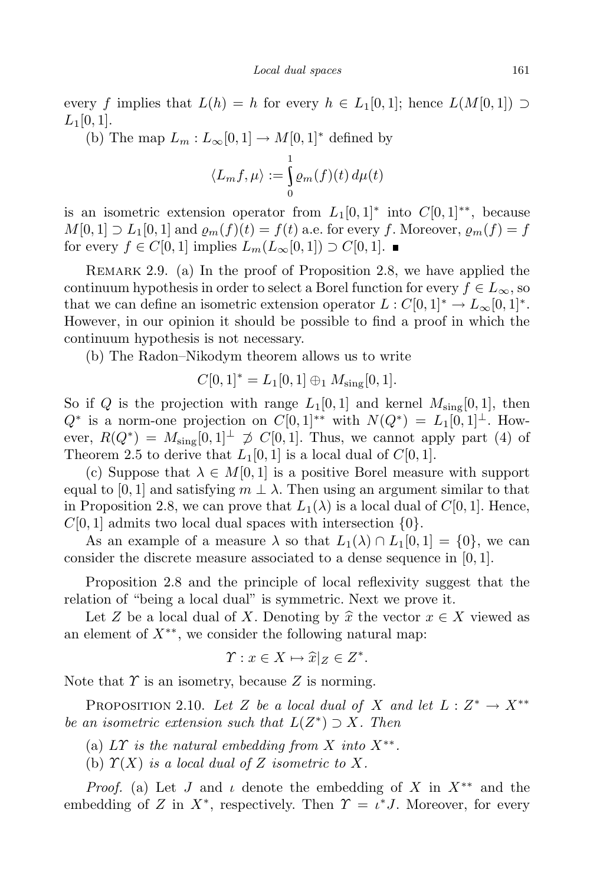every *f* implies that  $L(h) = h$  for every  $h \in L_1[0,1]$ ; hence  $L(M[0,1]) \supset$  $L_1[0,1].$ 

(b) The map  $L_m: L_\infty[0,1] \to M[0,1]^*$  defined by

$$
\langle L_m f, \mu \rangle := \int\limits_0^1 \varrho_m(f)(t) \, d\mu(t)
$$

is an isometric extension operator from  $L_1[0,1]^*$  into  $C[0,1]^{**}$ , because  $M[0,1] \supset L_1[0,1]$  and  $\varrho_m(f)(t) = f(t)$  a.e. for every *f*. Moreover,  $\varrho_m(f) = f$ for every *f* ∈ *C*[0*,* 1] implies  $L_m(L_\infty[0,1]) \supset C[0,1]$ .

Remark 2.9. (a) In the proof of Proposition 2.8, we have applied the continuum hypothesis in order to select a Borel function for every  $f \in L_{\infty}$ , so that we can define an isometric extension operator  $L : C[0,1]^* \to L_\infty[0,1]^*.$ However, in our opinion it should be possible to find a proof in which the continuum hypothesis is not necessary.

(b) The Radon–Nikodym theorem allows us to write

$$
C[0,1]^* = L_1[0,1] \oplus_1 M_{\text{sing}}[0,1].
$$

So if *Q* is the projection with range  $L_1[0,1]$  and kernel  $M_{sing}[0,1]$ , then *Q*<sup>∗</sup> is a norm-one projection on *C*[0*,* 1]<sup>∗∗</sup> with  $N(Q^*) = L_1[0,1]$ <sup>⊥</sup>. However,  $R(Q^*) = M_{\text{sing}}[0,1]^{\perp} \nsim C[0,1]$ . Thus, we cannot apply part (4) of Theorem 2.5 to derive that  $L_1[0,1]$  is a local dual of  $C[0,1]$ .

(c) Suppose that  $\lambda \in M[0,1]$  is a positive Borel measure with support equal to [0, 1] and satisfying  $m \perp \lambda$ . Then using an argument similar to that in Proposition 2.8, we can prove that  $L_1(\lambda)$  is a local dual of  $C[0, 1]$ . Hence, *C*[0*,* 1] admits two local dual spaces with intersection *{*0*}*.

As an example of a measure  $\lambda$  so that  $L_1(\lambda) \cap L_1[0,1] = \{0\}$ , we can consider the discrete measure associated to a dense sequence in [0*,* 1].

Proposition 2.8 and the principle of local reflexivity suggest that the relation of "being a local dual" is symmetric. Next we prove it.

Let *Z* be a local dual of *X*. Denoting by  $\hat{x}$  the vector  $x \in X$  viewed as an element of *X∗∗* , we consider the following natural map:

$$
\Upsilon: x \in X \mapsto \widehat{x}|_Z \in Z^*.
$$

Note that *Υ* is an isometry, because *Z* is norming.

PROPOSITION 2.10. Let *Z* be a local dual of *X* and let  $L: Z^* \to X^{**}$ *be an isometric extension such that L*(*Z ∗* ) *⊃ X. Then*

- (a)  $LT$  *is the natural embedding from*  $X$  *into*  $X^{**}$ .
- (b)  $\Upsilon(X)$  *is a local dual of Z isometric to X.*

*Proof.* (a) Let *J* and *ι* denote the embedding of *X* in *X∗∗* and the embedding of *Z* in  $X^*$ , respectively. Then  $\Upsilon = \iota^* J$ . Moreover, for every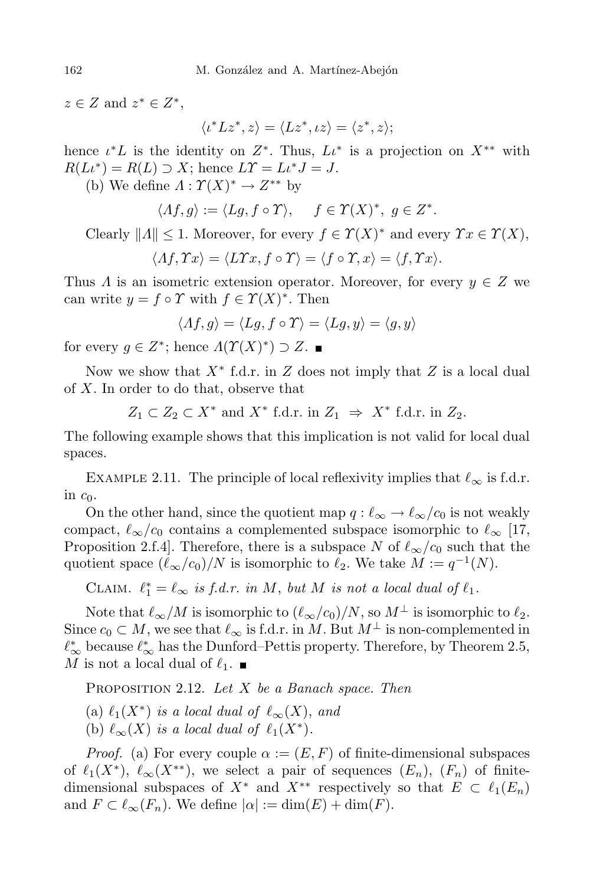$z \in Z$  and  $z^* \in Z^*$ ,

$$
\langle \iota^* L z^*, z \rangle = \langle L z^*, \iota z \rangle = \langle z^*, z \rangle;
$$

hence  $\iota^* L$  is the identity on  $Z^*$ . Thus,  $L\iota^*$  is a projection on  $X^{**}$  with  $R(L\iota^*) = R(L) \supset X$ ; hence  $L\Upsilon = L\iota^* J = J$ .

(b) We define  $\Lambda : \Upsilon(X)^* \to Z^{**}$  by

$$
\langle Af, g \rangle := \langle Lg, f \circ \Upsilon \rangle, \quad f \in \Upsilon(X)^*, \ g \in Z^*.
$$

Clearly  $||A|| \leq 1$ . Moreover, for every  $f \in \Upsilon(X)^*$  and every  $\Upsilon x \in \Upsilon(X)$ ,

$$
\langle \Lambda f, \Upsilon x \rangle = \langle L \Upsilon x, f \circ \Upsilon \rangle = \langle f \circ \Upsilon, x \rangle = \langle f, \Upsilon x \rangle.
$$

Thus *Λ* is an isometric extension operator. Moreover, for every  $y \in Z$  we can write  $y = f \circ \Upsilon$  with  $f \in \Upsilon(X)^*$ . Then

$$
\langle \Lambda f, g \rangle = \langle Lg, f \circ \Upsilon \rangle = \langle Lg, y \rangle = \langle g, y \rangle
$$

for every  $g \in Z^*$ ; hence  $\Lambda(\Upsilon(X)^*) \supset Z$ .

Now we show that *X<sup>∗</sup>* f.d.r. in *Z* does not imply that *Z* is a local dual of *X*. In order to do that, observe that

$$
Z_1 \subset Z_2 \subset X^*
$$
 and  $X^*$  f.d.r. in  $Z_1 \Rightarrow X^*$  f.d.r. in  $Z_2$ .

The following example shows that this implication is not valid for local dual spaces.

EXAMPLE 2.11. The principle of local reflexivity implies that  $\ell_{\infty}$  is f.d.r. in  $c_0$ .

On the other hand, since the quotient map  $q : \ell_{\infty} \to \ell_{\infty}/c_0$  is not weakly compact,  $\ell_{\infty}/c_0$  contains a complemented subspace isomorphic to  $\ell_{\infty}$  [17, Proposition 2.f.4]. Therefore, there is a subspace *N* of  $\ell_{\infty}/c_0$  such that the quotient space  $(\ell_{\infty}/c_0)/N$  is isomorphic to  $\ell_2$ . We take  $M := q^{-1}(N)$ .

CLAIM.  $\ell_1^* = \ell_\infty$  *is f.d.r. in M*, *but M is not a local dual* of  $\ell_1$ *.* 

Note that  $\ell_{\infty}/M$  is isomorphic to  $(\ell_{\infty}/c_0)/N$ , so  $M^{\perp}$  is isomorphic to  $\ell_2$ . Since  $c_0 \subset M$ , we see that  $\ell_{\infty}$  is f.d.r. in *M*. But  $M^{\perp}$  is non-complemented in  $\ell^*_{\infty}$  because  $\ell^*_{\infty}$  has the Dunford–Pettis property. Therefore, by Theorem 2.5, *M* is not a local dual of  $\ell_1$ .

Proposition 2.12. *Let X be a Banach space. Then*

 $\ell_1(X^*)$  *is a local dual of*  $\ell_\infty(X)$ , *and* 

(b)  $\ell_{\infty}(X)$  *is a local dual of*  $\ell_1(X^*)$ *.* 

*Proof.* (a) For every couple  $\alpha := (E, F)$  of finite-dimensional subspaces of  $\ell_1(X^*)$ ,  $\ell_\infty(X^{**})$ , we select a pair of sequences  $(E_n)$ ,  $(F_n)$  of finitedimensional subspaces of  $X^*$  and  $X^{**}$  respectively so that  $E \subset \ell_1(E_n)$ and  $F \subset \ell_{\infty}(F_n)$ . We define  $|\alpha| := \dim(E) + \dim(F)$ .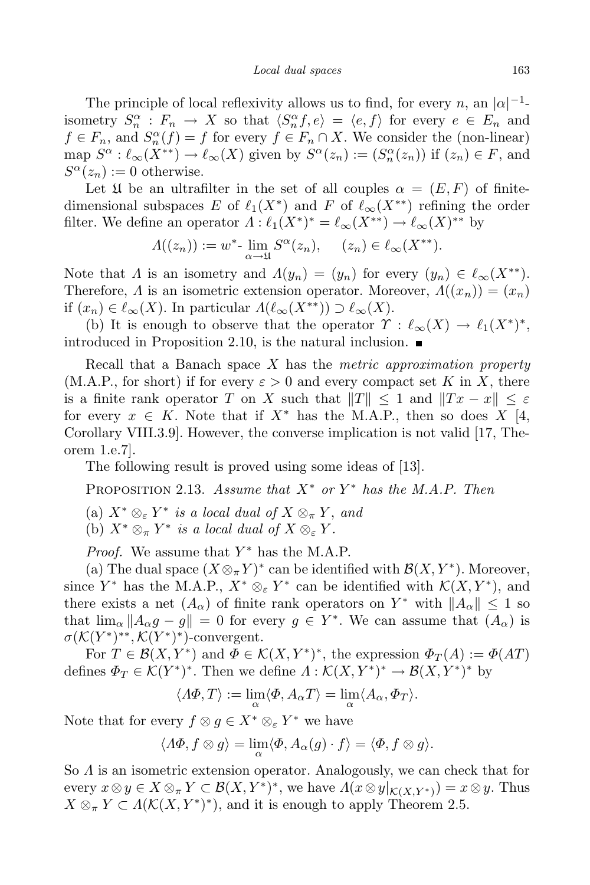The principle of local reflexivity allows us to find, for every *n*, an  $|a|^{-1}$ isometry  $S_n^{\alpha}: F_n \to X$  so that  $\langle S_n^{\alpha} f, e \rangle = \langle e, f \rangle$  for every  $e \in E_n$  and  $f \in F_n$ , and  $S_n^{\alpha}(f) = f$  for every  $f \in F_n \cap X$ . We consider the (non-linear) map  $S^{\alpha} : \ell_{\infty}(X^{**}) \to \ell_{\infty}(X)$  given by  $S^{\alpha}(z_n) := (S_n^{\alpha}(z_n))$  if  $(z_n) \in F$ , and  $S^{\alpha}(z_n) := 0$  otherwise.

Let  $\mathfrak U$  be an ultrafilter in the set of all couples  $\alpha = (E, F)$  of finitedimensional subspaces *E* of  $\ell_1(X^*)$  and *F* of  $\ell_\infty(X^{**})$  refining the order filter. We define an operator  $\Lambda: \ell_1(X^*)^* = \ell_\infty(X^{**}) \to \ell_\infty(X)^{**}$  by

$$
\Lambda((z_n)) := w^* \lim_{\alpha \to \mathfrak{U}} S^{\alpha}(z_n), \quad (z_n) \in \ell_{\infty}(X^{**}).
$$

Note that *Λ* is an isometry and  $\Lambda(y_n) = (y_n)$  for every  $(y_n) \in \ell_{\infty}(X^{**})$ . Therefore,  $\Lambda$  is an isometric extension operator. Moreover,  $\Lambda((x_n)) = (x_n)$ if  $(x_n) \in \ell_\infty(X)$ . In particular  $\Lambda(\ell_\infty(X^{**})) \supset \ell_\infty(X)$ .

(b) It is enough to observe that the operator  $\Upsilon : \ell_{\infty}(X) \to \ell_1(X^*)^*$ , introduced in Proposition 2.10, is the natural inclusion.

Recall that a Banach space *X* has the *metric approximation property*  $(M.A.P., for short)$  if for every  $\varepsilon > 0$  and every compact set *K* in *X*, there is a finite rank operator *T* on *X* such that  $||T|| \leq 1$  and  $||Tx - x|| \leq \varepsilon$ for every  $x \in K$ . Note that if  $X^*$  has the M.A.P., then so does  $X \mid 4$ , Corollary VIII.3.9]. However, the converse implication is not valid [17, Theorem 1.e.7].

The following result is proved using some ideas of [13].

Proposition 2.13. *Assume that X<sup>∗</sup> or Y <sup>∗</sup> has the M.A.P. Then*

 $\mathbb{R}^n$   $(X^* \otimes_{\varepsilon} Y^* \text{ is a local dual of } X \otimes_{\pi} Y, \text{ and }$ 

(b)  $X^* \otimes_{\pi} Y^*$  *is a local dual of*  $X \otimes_{\varepsilon} Y$ .

*Proof.* We assume that *Y ∗* has the M.A.P.

(a) The dual space  $(X \otimes_{\pi} Y)^*$  can be identified with  $\mathcal{B}(X, Y^*)$ . Moreover, since  $Y^*$  has the M.A.P.,  $X^* \otimes_{\varepsilon} Y^*$  can be identified with  $\mathcal{K}(X, Y^*)$ , and there exists a net  $(A_{\alpha})$  of finite rank operators on  $Y^*$  with  $||A_{\alpha}|| \leq 1$  so that  $\lim_{\alpha} ||A_{\alpha}g - g|| = 0$  for every  $g \in Y^*$ . We can assume that  $(A_{\alpha})$  is  $\sigma(\mathcal{K}(Y^*)^*, \mathcal{K}(Y^*)^*)$ -convergent.

For  $T \in \mathcal{B}(X, Y^*)$  and  $\Phi \in \mathcal{K}(X, Y^*)^*$ , the expression  $\Phi_T(A) := \Phi(AT)$ defines  $\Phi_T \in \mathcal{K}(Y^*)^*$ . Then we define  $\Lambda : \mathcal{K}(X, Y^*)^* \to \mathcal{B}(X, Y^*)^*$  by

$$
\langle A\Phi, T \rangle := \lim_{\alpha} \langle \Phi, A_{\alpha} T \rangle = \lim_{\alpha} \langle A_{\alpha}, \Phi_T \rangle.
$$

Note that for every  $f \otimes g \in X^* \otimes_{\varepsilon} Y^*$  we have

$$
\langle A\Phi, f\otimes g\rangle = \lim_{\alpha} \langle \Phi, A_{\alpha}(g) \cdot f\rangle = \langle \Phi, f\otimes g\rangle.
$$

So *Λ* is an isometric extension operator. Analogously, we can check that for every  $x \otimes y \in X \otimes_{\pi} Y \subset \mathcal{B}(X, Y^*)^*$ , we have  $\Lambda(x \otimes y|_{\mathcal{K}(X, Y^*)}) = x \otimes y$ . Thus  $X \otimes_{\pi} Y \subset \Lambda(\mathcal{K}(X, Y^*)^*)$ , and it is enough to apply Theorem 2.5.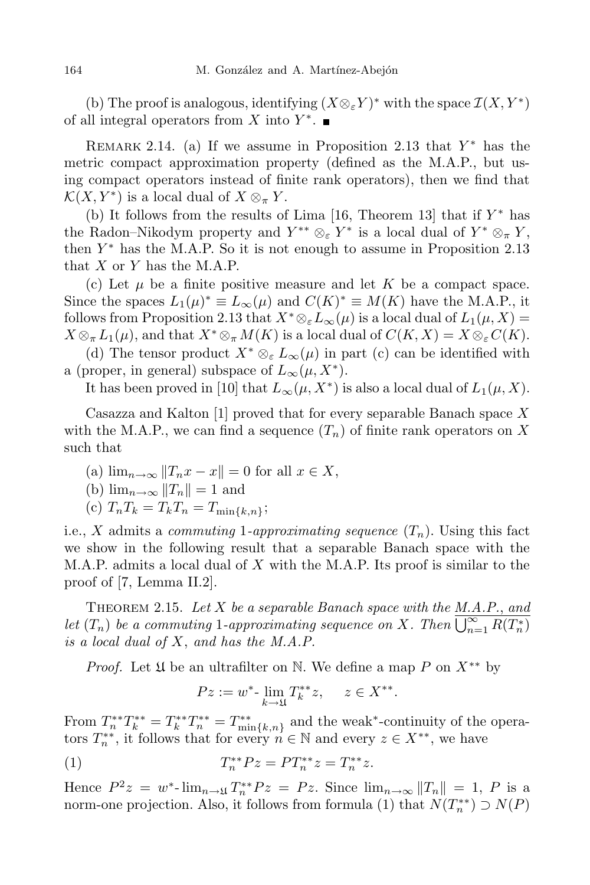(b) The proof is analogous, identifying  $(X \otimes_{\varepsilon} Y)^*$  with the space  $\mathcal{I}(X, Y^*)$ of all integral operators from *X* into *Y ∗* .

REMARK 2.14. (a) If we assume in Proposition 2.13 that  $Y^*$  has the metric compact approximation property (defined as the M.A.P., but using compact operators instead of finite rank operators), then we find that  $\mathcal{K}(X, Y^*)$  is a local dual of  $X \otimes_{\pi} Y$ .

(b) It follows from the results of Lima [16, Theorem 13] that if *Y ∗* has the Radon–Nikodym property and  $Y^{**} \otimes_{\varepsilon} Y^*$  is a local dual of  $Y^* \otimes_{\pi} Y$ , then *Y <sup>∗</sup>* has the M.A.P. So it is not enough to assume in Proposition 2.13 that *X* or *Y* has the M.A.P.

(c) Let  $\mu$  be a finite positive measure and let  $K$  be a compact space. Since the spaces  $L_1(\mu)^* \equiv L_\infty(\mu)$  and  $C(K)^* \equiv M(K)$  have the M.A.P., it follows from Proposition 2.13 that  $X^* \otimes_{\varepsilon} L_\infty(\mu)$  is a local dual of  $L_1(\mu, X) =$  $X \otimes_{\pi} L_1(\mu)$ , and that  $X^* \otimes_{\pi} M(K)$  is a local dual of  $C(K, X) = X \otimes_{\varepsilon} C(K)$ .

(d) The tensor product  $X^* \otimes_{\varepsilon} L_{\infty}(\mu)$  in part (c) can be identified with a (proper, in general) subspace of  $L_{\infty}(\mu, X^*)$ .

It has been proved in [10] that  $L_{\infty}(\mu, X^*)$  is also a local dual of  $L_1(\mu, X)$ .

Casazza and Kalton [1] proved that for every separable Banach space *X* with the M.A.P., we can find a sequence  $(T_n)$  of finite rank operators on X such that

 $\lim_{n \to \infty} \|T_n x - x\| = 0$  for all  $x \in X$ ,

(b) 
$$
\lim_{n\to\infty} ||T_n|| = 1
$$
 and

(c) 
$$
T_n T_k = T_k T_n = T_{\min\{k,n\}};
$$

i.e., *X* admits a *commuting* 1*-approximating sequence*  $(T_n)$ . Using this fact we show in the following result that a separable Banach space with the M.A.P. admits a local dual of *X* with the M.A.P. Its proof is similar to the proof of [7, Lemma II.2].

Theorem 2.15. *Let X be a separable Banach space with the M.A.P.*, *and let*  $(T_n)$  *be a commuting* 1*-approximating sequence on X. Then*  $\overline{\bigcup_{n=1}^{\infty} R(T_n^*)}$ *is a local dual of X*, *and has the M.A.P.*

*Proof.* Let  $\mathfrak U$  be an ultrafilter on ℕ. We define a map P on  $X^{**}$  by

$$
Pz := w^* \lim_{k \to \mathfrak{U}} T_k^{**} z, \quad z \in X^{**}.
$$

From  $T_n^{**}T_n^{**} = T_k^{**}T_n^{**} = T_{\min\{k,n\}}^{**}$  and the weak<sup>\*</sup>-continuity of the operators  $T_n^{**}$ , it follows that for every  $n \in \mathbb{N}$  and every  $z \in X^{**}$ , we have

(1) 
$$
T_n^{**} P z = PT_n^{**} z = T_n^{**} z.
$$

Hence  $P^2z = w^*$ - $\lim_{n \to \infty} T_n^{**}Pz = Px$ . Since  $\lim_{n \to \infty} ||T_n|| = 1$ , P is a norm-one projection. Also, it follows from formula (1) that  $N(T_n^{**}) \supset N(P)$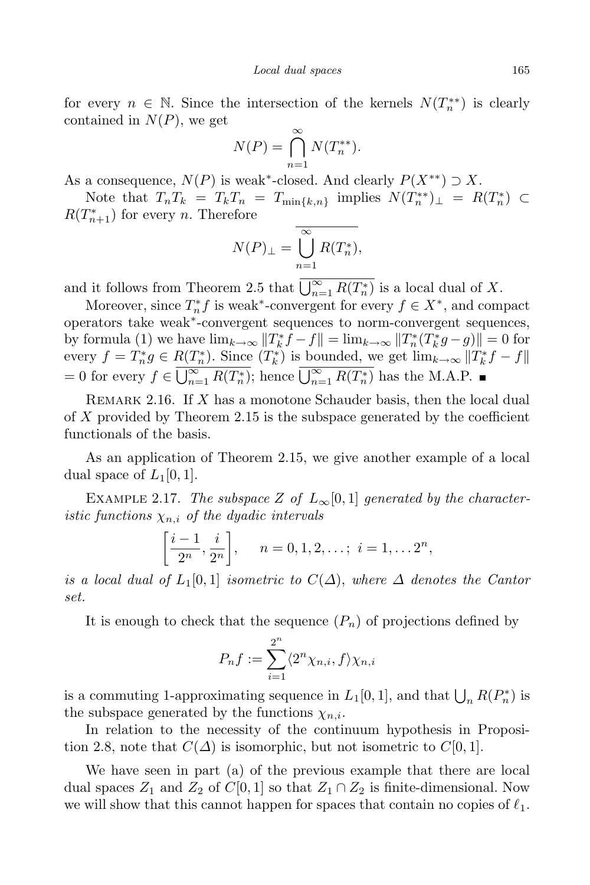for every  $n \in \mathbb{N}$ . Since the intersection of the kernels  $N(T_n^{**})$  is clearly contained in *N*(*P*), we get

$$
N(P) = \bigcap_{n=1}^{\infty} N(T_n^{**}).
$$

As a consequence,  $N(P)$  is weak<sup>\*</sup>-closed. And clearly  $P(X^{**}) \supset X$ .

Note that  $T_nT_k = T_kT_n = T_{\min\{k,n\}}$  implies  $N(T_n^{**})_{\perp} = R(T_n^{*}) \subset$  $R(T_{n+1}^*)$  for every *n*. Therefore

$$
N(P)_{\perp} = \bigcup_{n=1}^{\infty} R(T_n^*),
$$

and it follows from Theorem 2.5 that  $\bigcup_{n=1}^{\infty} R(T_n^*)$  is a local dual of *X*.

Moreover, since  $T_n^* f$  is weak<sup>\*</sup>-convergent for every  $f \in X^*$ , and compact operators take weak*<sup>∗</sup>* -convergent sequences to norm-convergent sequences, by formula (1) we have  $\lim_{k\to\infty} ||T_k^*f - f|| = \lim_{k\to\infty} ||T_n^*(T_k^*g - g)|| = 0$  for every  $f = T_n^*g \in R(T_n^*)$ . Since  $(T_k^*)$  is bounded, we get  $\lim_{k \to \infty} ||T_k^*f - f||$  $= 0$  for every  $f \in \overline{\bigcup_{n=1}^{\infty} R(T_n^*)}$ ; hence  $\overline{\bigcup_{n=1}^{\infty} R(T_n^*)}$  has the M.A.P.

Remark 2.16. If *X* has a monotone Schauder basis, then the local dual of *X* provided by Theorem 2.15 is the subspace generated by the coefficient functionals of the basis.

As an application of Theorem 2.15, we give another example of a local dual space of  $L_1[0,1]$ .

EXAMPLE 2.17. *The subspace Z* of  $L_\infty[0,1]$  generated by the character*istic functions*  $\chi_{n,i}$  *of the dyadic intervals* 

$$
\left[\frac{i-1}{2^n}, \frac{i}{2^n}\right]
$$
,  $n = 0, 1, 2, \ldots; i = 1, \ldots 2^n$ ,

*is a local dual of*  $L_1[0,1]$  *isometric to*  $C(\Delta)$ , *where*  $\Delta$  *denotes the Cantor set.*

It is enough to check that the sequence  $(P_n)$  of projections defined by

$$
P_n f := \sum_{i=1}^{2^n} \langle 2^n \chi_{n,i}, f \rangle \chi_{n,i}
$$

is a commuting 1-approximating sequence in  $L_1[0,1]$ , and that  $\bigcup_n R(P_n^*)$  is the subspace generated by the functions  $\chi_{n,i}$ .

In relation to the necessity of the continuum hypothesis in Proposition 2.8, note that  $C(\Delta)$  is isomorphic, but not isometric to  $C[0, 1]$ .

We have seen in part (a) of the previous example that there are local dual spaces  $Z_1$  and  $Z_2$  of  $C[0,1]$  so that  $Z_1 \cap Z_2$  is finite-dimensional. Now we will show that this cannot happen for spaces that contain no copies of  $\ell_1$ .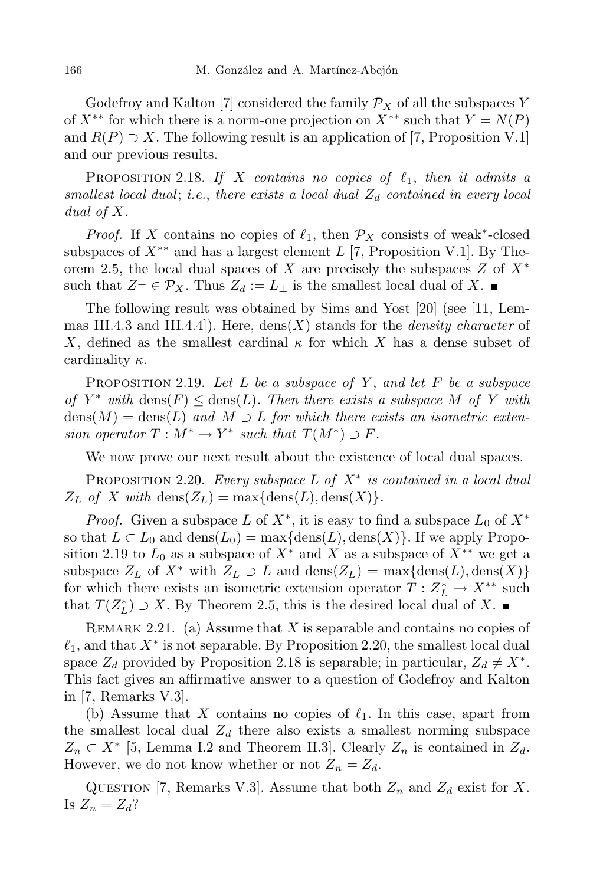Godefroy and Kalton [7] considered the family  $\mathcal{P}_X$  of all the subspaces *Y* of  $X^{**}$  for which there is a norm-one projection on  $X^{**}$  such that  $Y = N(P)$ and  $R(P) \supseteq X$ . The following result is an application of [7, Proposition V.1] and our previous results.

PROPOSITION 2.18. If X contains no copies of  $\ell_1$ , then it admits a *smallest local dual*; *i.e.*, *there exists a local dual Z<sup>d</sup> contained in every local dual of X.*

*Proof.* If *X* contains no copies of  $\ell_1$ , then  $\mathcal{P}_X$  consists of weak<sup>\*</sup>-closed subspaces of *X∗∗* and has a largest element *L* [7, Proposition V.1]. By Theorem 2.5, the local dual spaces of *X* are precisely the subspaces *Z* of *X<sup>∗</sup>* such that  $Z^{\perp} \in \mathcal{P}_X$ . Thus  $Z_d := L_{\perp}$  is the smallest local dual of X.

The following result was obtained by Sims and Yost [20] (see [11, Lemmas III.4.3 and III.4.4]). Here, dens(*X*) stands for the *density character* of *X*, defined as the smallest cardinal  $\kappa$  for which *X* has a dense subset of cardinality *κ*.

Proposition 2.19. *Let L be a subspace of Y* , *and let F be a subspace*  $of$  *Y*<sup>\*</sup> *with* dens $(F) \leq$  dens $(L)$ *. Then there exists a subspace M of Y with*  $dens(M) = dens(L)$  *and*  $M \supset L$  *for which there exists an isometric extension operator*  $T : M^* \to Y^*$  *such that*  $T(M^*) \supset F$ .

We now prove our next result about the existence of local dual spaces.

Proposition 2.20. *Every subspace L of X<sup>∗</sup> is contained in a local dual*  $Z_L$  *of X with* dens $(Z_L) = \max\{\text{dens}(L), \text{dens}(X)\}.$ 

*Proof.* Given a subspace *L* of  $X^*$ , it is easy to find a subspace  $L_0$  of  $X^*$ so that  $L \subset L_0$  and  $\text{dens}(L_0) = \max\{\text{dens}(L), \text{dens}(X)\}\$ . If we apply Proposition 2.19 to  $L_0$  as a subspace of  $X^*$  and X as a subspace of  $X^{**}$  we get a subspace  $Z_L$  of  $X^*$  with  $Z_L \supset L$  and  $\text{dens}(Z_L) = \max\{\text{dens}(L), \text{dens}(X)\}\$ for which there exists an isometric extension operator  $T: Z_L^* \to X^{**}$  such that  $T(Z_L^*) \supset X$ . By Theorem 2.5, this is the desired local dual of X.

Remark 2.21. (a) Assume that *X* is separable and contains no copies of  $\ell_1$ , and that  $X^*$  is not separable. By Proposition 2.20, the smallest local dual space  $Z_d$  provided by Proposition 2.18 is separable; in particular,  $Z_d \neq X^*$ . This fact gives an affirmative answer to a question of Godefroy and Kalton in [7, Remarks V.3].

(b) Assume that *X* contains no copies of  $\ell_1$ . In this case, apart from the smallest local dual  $Z_d$  there also exists a smallest norming subspace *Z*<sup>n</sup> ⊂ *X*<sup>\*</sup> [5, Lemma I.2 and Theorem II.3]. Clearly *Z*<sup>n</sup> is contained in *Z*<sup>d</sup>. However, we do not know whether or not  $Z_n = Z_d$ .

QUESTION [7, Remarks V.3]. Assume that both  $Z_n$  and  $Z_d$  exist for *X*. Is  $Z_n = Z_d$ ?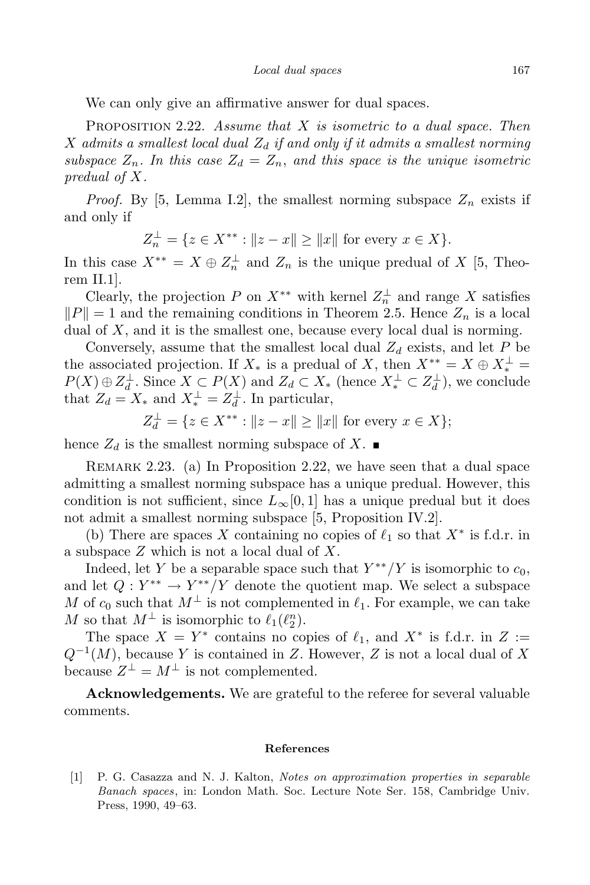We can only give an affirmative answer for dual spaces.

Proposition 2.22. *Assume that X is isometric to a dual space. Then X admits a smallest local dual Z<sup>d</sup> if and only if it admits a smallest norming subspace*  $Z_n$ *. In this case*  $Z_d = Z_n$ *, and this space is the unique isometric predual of X.*

*Proof.* By [5, Lemma I.2], the smallest norming subspace  $Z_n$  exists if and only if

$$
Z_n^{\perp} = \{ z \in X^{**} : ||z - x|| \ge ||x|| \text{ for every } x \in X \}.
$$

In this case  $X^{**} = X \oplus Z_n^{\perp}$  and  $Z_n$  is the unique predual of X [5, Theorem II.1].

Clearly, the projection *P* on  $X^{**}$  with kernel  $Z_n^{\perp}$  and range *X* satisfies  $||P|| = 1$  and the remaining conditions in Theorem 2.5. Hence  $Z_n$  is a local dual of *X*, and it is the smallest one, because every local dual is norming.

Conversely, assume that the smallest local dual  $Z_d$  exists, and let  $P$  be the associated projection. If  $X_*$  is a predual of *X*, then  $X^{**} = X \oplus X^{\perp}_* = X(X) \oplus X^{\perp} = \mathbb{R}^{X} \oplus \mathbb{R}^{X}$  $P(X) \oplus Z_d^{\perp}$ . Since  $X \subset P(X)$  and  $Z_d \subset X_*$  (hence  $X_*^{\perp} \subset Z_d^{\perp}$ ), we conclude that  $Z_d = X_*$  and  $X_*^{\perp} = Z_d^{\perp}$ . In particular,

$$
Z_d^{\perp} = \{ z \in X^{**} : ||z - x|| \ge ||x|| \text{ for every } x \in X \};
$$

hence  $Z_d$  is the smallest norming subspace of X.

Remark 2.23. (a) In Proposition 2.22, we have seen that a dual space admitting a smallest norming subspace has a unique predual. However, this condition is not sufficient, since  $L_\infty[0,1]$  has a unique predual but it does not admit a smallest norming subspace [5, Proposition IV.2].

(b) There are spaces *X* containing no copies of  $\ell_1$  so that  $X^*$  is f.d.r. in a subspace *Z* which is not a local dual of *X*.

Indeed, let *Y* be a separable space such that  $Y^{**}/Y$  is isomorphic to  $c_0$ , and let  $Q: Y^{**} \to Y^{**}/Y$  denote the quotient map. We select a subspace *M* of  $c_0$  such that  $M^{\perp}$  is not complemented in  $\ell_1$ . For example, we can take *M* so that  $M^{\perp}$  is isomorphic to  $\ell_1(\ell_2^n)$ .

The space  $X = Y^*$  contains no copies of  $\ell_1$ , and  $X^*$  is f.d.r. in  $Z :=$ *Q−*<sup>1</sup> (*M*), because *Y* is contained in *Z*. However, *Z* is not a local dual of *X* because  $Z^{\perp} = M^{\perp}$  is not complemented.

**Acknowledgements.** We are grateful to the referee for several valuable comments.

## **References**

[1] P. G. Casazza and N. J. Kalton, *Notes on approximation properties in separable Banach spaces*, in: London Math. Soc. Lecture Note Ser. 158, Cambridge Univ. Press, 1990, 49–63.